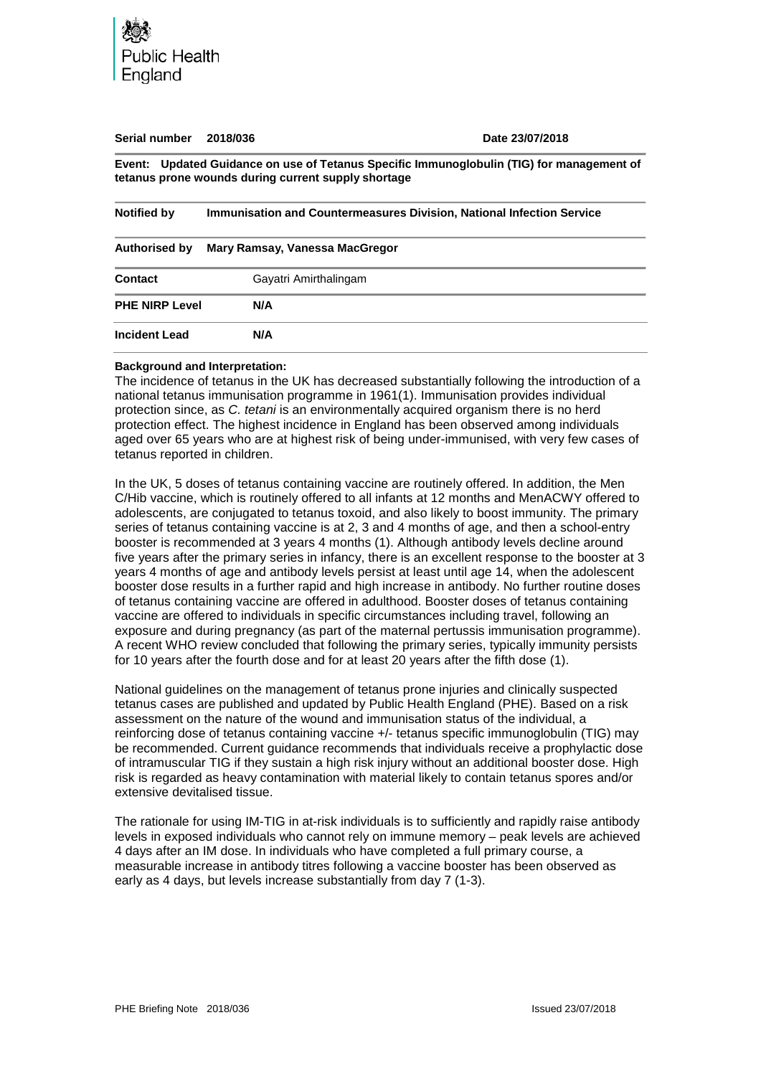

| Serial number         | 2018/036                                                              | Date 23/07/2018                                                                           |
|-----------------------|-----------------------------------------------------------------------|-------------------------------------------------------------------------------------------|
|                       | tetanus prone wounds during current supply shortage                   | Event: Updated Guidance on use of Tetanus Specific Immunoglobulin (TIG) for management of |
| <b>Notified by</b>    | Immunisation and Countermeasures Division, National Infection Service |                                                                                           |
| Authorised by         | Mary Ramsay, Vanessa MacGregor                                        |                                                                                           |
| Contact               | Gayatri Amirthalingam                                                 |                                                                                           |
| <b>PHE NIRP Level</b> | N/A                                                                   |                                                                                           |
| <b>Incident Lead</b>  | N/A                                                                   |                                                                                           |

#### **Background and Interpretation:**

The incidence of tetanus in the UK has decreased substantially following the introduction of a national tetanus immunisation programme in 1961(1). Immunisation provides individual protection since, as *C. tetani* is an environmentally acquired organism there is no herd protection effect. The highest incidence in England has been observed among individuals aged over 65 years who are at highest risk of being under-immunised, with very few cases of tetanus reported in children.

In the UK, 5 doses of tetanus containing vaccine are routinely offered. In addition, the Men C/Hib vaccine, which is routinely offered to all infants at 12 months and MenACWY offered to adolescents, are conjugated to tetanus toxoid, and also likely to boost immunity. The primary series of tetanus containing vaccine is at 2, 3 and 4 months of age, and then a school-entry booster is recommended at 3 years 4 months (1). Although antibody levels decline around five years after the primary series in infancy, there is an excellent response to the booster at 3 years 4 months of age and antibody levels persist at least until age 14, when the adolescent booster dose results in a further rapid and high increase in antibody. No further routine doses of tetanus containing vaccine are offered in adulthood. Booster doses of tetanus containing vaccine are offered to individuals in specific circumstances including travel, following an exposure and during pregnancy (as part of the maternal pertussis immunisation programme). A recent WHO review concluded that following the primary series, typically immunity persists for 10 years after the fourth dose and for at least 20 years after the fifth dose (1).

National guidelines on the management of tetanus prone injuries and clinically suspected tetanus cases are published and updated by Public Health England (PHE). Based on a risk assessment on the nature of the wound and immunisation status of the individual, a reinforcing dose of tetanus containing vaccine +/- tetanus specific immunoglobulin (TIG) may be recommended. Current guidance recommends that individuals receive a prophylactic dose of intramuscular TIG if they sustain a high risk injury without an additional booster dose. High risk is regarded as heavy contamination with material likely to contain tetanus spores and/or extensive devitalised tissue.

The rationale for using IM-TIG in at-risk individuals is to sufficiently and rapidly raise antibody levels in exposed individuals who cannot rely on immune memory – peak levels are achieved 4 days after an IM dose. In individuals who have completed a full primary course, a measurable increase in antibody titres following a vaccine booster has been observed as early as 4 days, but levels increase substantially from day 7 (1-3).